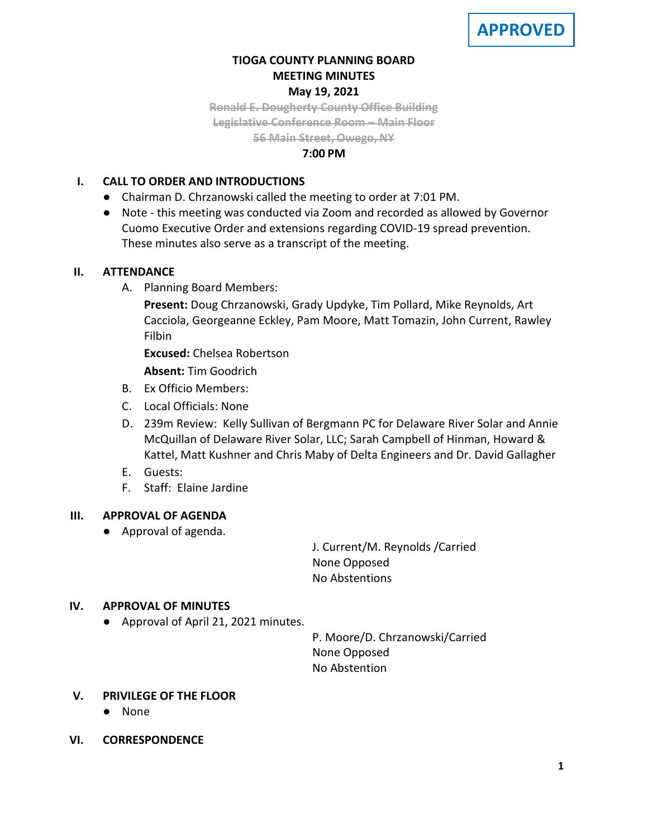# **TIOGA COUNTY PLANNING BOARD MEETING MINUTES May 19, 2021**

**Ronald E. Dougherty County Office Building Legislative Conference Room – Main Floor 56 Main Street, Owego, NY**

### **7:00 PM**

## **I. CALL TO ORDER AND INTRODUCTIONS**

- Chairman D. Chrzanowski called the meeting to order at 7:01 PM.
- Note this meeting was conducted via Zoom and recorded as allowed by Governor Cuomo Executive Order and extensions regarding COVID-19 spread prevention. These minutes also serve as a transcript of the meeting.

## **II. ATTENDANCE**

A. Planning Board Members:

**Present:** Doug Chrzanowski, Grady Updyke, Tim Pollard, Mike Reynolds, Art Cacciola, Georgeanne Eckley, Pam Moore, Matt Tomazin, John Current, Rawley Filbin

**Excused:** Chelsea Robertson

**Absent:** Tim Goodrich

- B. Ex Officio Members:
- C. Local Officials: None
- D. 239m Review: Kelly Sullivan of Bergmann PC for Delaware River Solar and Annie McQuillan of Delaware River Solar, LLC; Sarah Campbell of Hinman, Howard & Kattel, Matt Kushner and Chris Maby of Delta Engineers and Dr. David Gallagher
- E. Guests:
- F. Staff: Elaine Jardine

## **III. APPROVAL OF AGENDA**

● Approval of agenda.

J. Current/M. Reynolds /Carried None Opposed No Abstentions

## **IV. APPROVAL OF MINUTES**

● Approval of April 21, 2021 minutes.

P. Moore/D. Chrzanowski/Carried None Opposed No Abstention

## **V. PRIVILEGE OF THE FLOOR**

- None
- **VI. CORRESPONDENCE**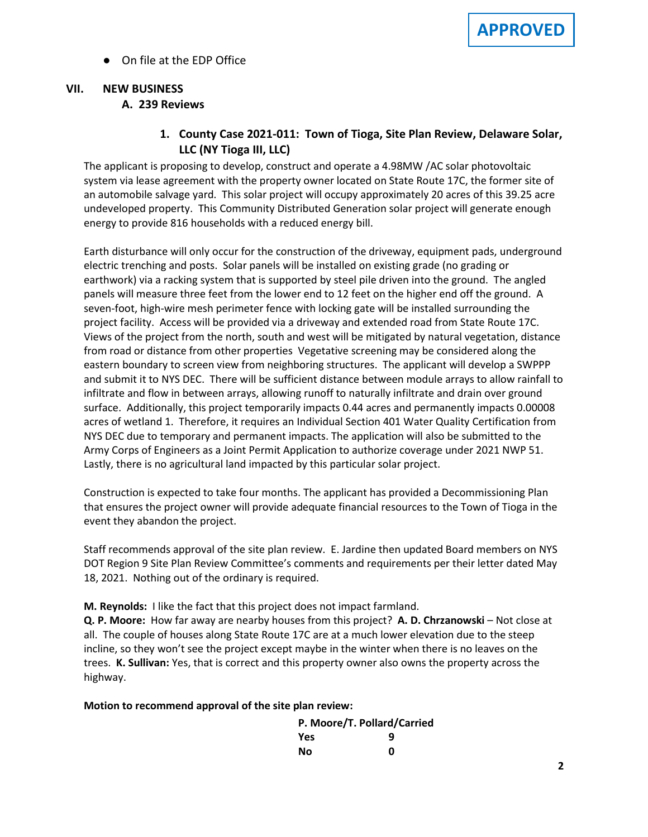● On file at the EDP Office

# **VII. NEW BUSINESS A. A. 239 Reviews**

# **1. County Case 2021-011: Town of Tioga, Site Plan Review, Delaware Solar, LLC (NY Tioga III, LLC)**

The applicant is proposing to develop, construct and operate a 4.98MW /AC solar photovoltaic system via lease agreement with the property owner located on State Route 17C, the former site of an automobile salvage yard. This solar project will occupy approximately 20 acres of this 39.25 acre undeveloped property. This Community Distributed Generation solar project will generate enough energy to provide 816 households with a reduced energy bill.

Earth disturbance will only occur for the construction of the driveway, equipment pads, underground electric trenching and posts. Solar panels will be installed on existing grade (no grading or earthwork) via a racking system that is supported by steel pile driven into the ground. The angled panels will measure three feet from the lower end to 12 feet on the higher end off the ground. A seven-foot, high-wire mesh perimeter fence with locking gate will be installed surrounding the project facility. Access will be provided via a driveway and extended road from State Route 17C. Views of the project from the north, south and west will be mitigated by natural vegetation, distance from road or distance from other properties Vegetative screening may be considered along the eastern boundary to screen view from neighboring structures. The applicant will develop a SWPPP and submit it to NYS DEC. There will be sufficient distance between module arrays to allow rainfall to infiltrate and flow in between arrays, allowing runoff to naturally infiltrate and drain over ground surface. Additionally, this project temporarily impacts 0.44 acres and permanently impacts 0.00008 acres of wetland 1. Therefore, it requires an Individual Section 401 Water Quality Certification from NYS DEC due to temporary and permanent impacts. The application will also be submitted to the Army Corps of Engineers as a Joint Permit Application to authorize coverage under 2021 NWP 51. Lastly, there is no agricultural land impacted by this particular solar project.

Construction is expected to take four months. The applicant has provided a Decommissioning Plan that ensures the project owner will provide adequate financial resources to the Town of Tioga in the event they abandon the project.

Staff recommends approval of the site plan review. E. Jardine then updated Board members on NYS DOT Region 9 Site Plan Review Committee's comments and requirements per their letter dated May 18, 2021. Nothing out of the ordinary is required.

**M. Reynolds:** I like the fact that this project does not impact farmland.

**Q. P. Moore:** How far away are nearby houses from this project? **A. D. Chrzanowski** – Not close at all. The couple of houses along State Route 17C are at a much lower elevation due to the steep incline, so they won't see the project except maybe in the winter when there is no leaves on the trees. **K. Sullivan:** Yes, that is correct and this property owner also owns the property across the highway.

**Motion to recommend approval of the site plan review:**

|     | P. Moore/T. Pollard/Carried |
|-----|-----------------------------|
| Yes | q                           |
| Nο  | n                           |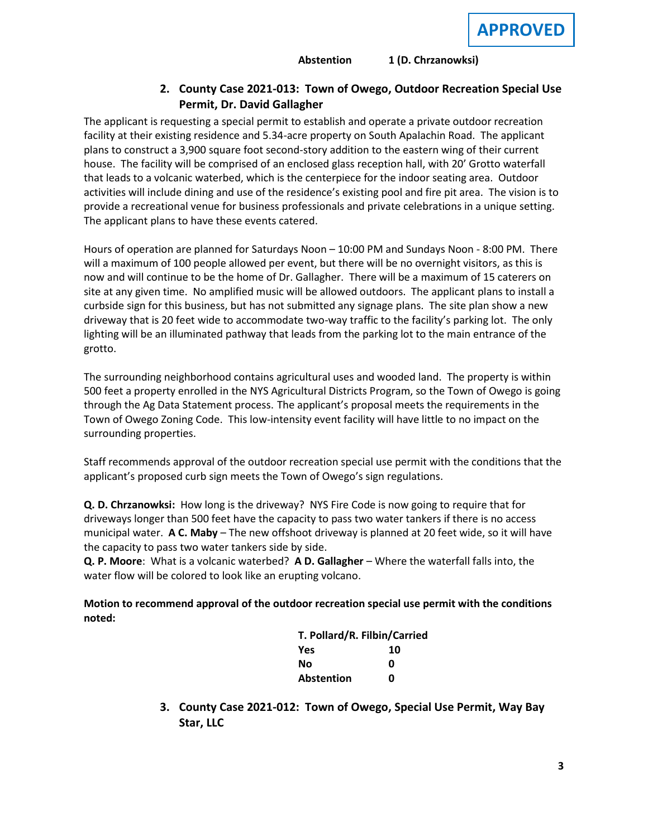### **Abstention 1 (D. Chrzanowksi)**

# **2. County Case 2021-013: Town of Owego, Outdoor Recreation Special Use Permit, Dr. David Gallagher**

The applicant is requesting a special permit to establish and operate a private outdoor recreation facility at their existing residence and 5.34-acre property on South Apalachin Road. The applicant plans to construct a 3,900 square foot second-story addition to the eastern wing of their current house. The facility will be comprised of an enclosed glass reception hall, with 20' Grotto waterfall that leads to a volcanic waterbed, which is the centerpiece for the indoor seating area. Outdoor activities will include dining and use of the residence's existing pool and fire pit area. The vision is to provide a recreational venue for business professionals and private celebrations in a unique setting. The applicant plans to have these events catered.

Hours of operation are planned for Saturdays Noon – 10:00 PM and Sundays Noon - 8:00 PM. There will a maximum of 100 people allowed per event, but there will be no overnight visitors, as this is now and will continue to be the home of Dr. Gallagher. There will be a maximum of 15 caterers on site at any given time. No amplified music will be allowed outdoors. The applicant plans to install a curbside sign for this business, but has not submitted any signage plans. The site plan show a new driveway that is 20 feet wide to accommodate two-way traffic to the facility's parking lot. The only lighting will be an illuminated pathway that leads from the parking lot to the main entrance of the grotto.

The surrounding neighborhood contains agricultural uses and wooded land. The property is within 500 feet a property enrolled in the NYS Agricultural Districts Program, so the Town of Owego is going through the Ag Data Statement process. The applicant's proposal meets the requirements in the Town of Owego Zoning Code. This low-intensity event facility will have little to no impact on the surrounding properties.

Staff recommends approval of the outdoor recreation special use permit with the conditions that the applicant's proposed curb sign meets the Town of Owego's sign regulations.

**Q. D. Chrzanowksi:** How long is the driveway? NYS Fire Code is now going to require that for driveways longer than 500 feet have the capacity to pass two water tankers if there is no access municipal water. **A C. Maby** – The new offshoot driveway is planned at 20 feet wide, so it will have the capacity to pass two water tankers side by side.

**Q. P. Moore**: What is a volcanic waterbed? **A D. Gallagher** – Where the waterfall falls into, the water flow will be colored to look like an erupting volcano.

**Motion to recommend approval of the outdoor recreation special use permit with the conditions noted:**

| T. Pollard/R. Filbin/Carried |    |
|------------------------------|----|
| Yes                          | 10 |
| Nο                           | ŋ  |
| Abstention                   | n  |

**3. County Case 2021-012: Town of Owego, Special Use Permit, Way Bay Star, LLC**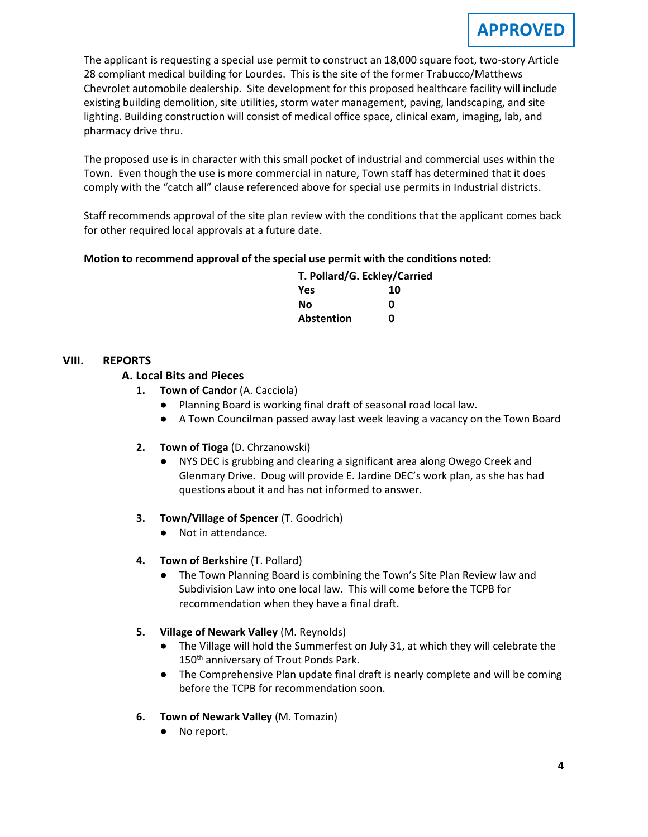The applicant is requesting a special use permit to construct an 18,000 square foot, two-story Article 28 compliant medical building for Lourdes. This is the site of the former Trabucco/Matthews Chevrolet automobile dealership. Site development for this proposed healthcare facility will include existing building demolition, site utilities, storm water management, paving, landscaping, and site lighting. Building construction will consist of medical office space, clinical exam, imaging, lab, and pharmacy drive thru.

The proposed use is in character with this small pocket of industrial and commercial uses within the Town. Even though the use is more commercial in nature, Town staff has determined that it does comply with the "catch all" clause referenced above for special use permits in Industrial districts.

Staff recommends approval of the site plan review with the conditions that the applicant comes back for other required local approvals at a future date.

## **Motion to recommend approval of the special use permit with the conditions noted:**

|     | T. Pollard/G. Eckley/Carried |
|-----|------------------------------|
| Yes | 10                           |

| 153        | TU |
|------------|----|
| Νo         | O  |
| Abstention | Ω  |

### **VIII. REPORTS**

### **A. A. Local Bits and Pieces**

- **1. Town of Candor** (A. Cacciola)
	- Planning Board is working final draft of seasonal road local law.
	- A Town Councilman passed away last week leaving a vacancy on the Town Board

### **2. Town of Tioga** (D. Chrzanowski)

● NYS DEC is grubbing and clearing a significant area along Owego Creek and Glenmary Drive. Doug will provide E. Jardine DEC's work plan, as she has had questions about it and has not informed to answer.

### **3. Town/Village of Spencer** (T. Goodrich)

- Not in attendance.
- **4. Town of Berkshire** (T. Pollard)
	- The Town Planning Board is combining the Town's Site Plan Review law and Subdivision Law into one local law. This will come before the TCPB for recommendation when they have a final draft.
- **5. Village of Newark Valley** (M. Reynolds)
	- The Village will hold the Summerfest on July 31, at which they will celebrate the 150<sup>th</sup> anniversary of Trout Ponds Park.
	- The Comprehensive Plan update final draft is nearly complete and will be coming before the TCPB for recommendation soon.
- **6. Town of Newark Valley** (M. Tomazin)
	- No report.